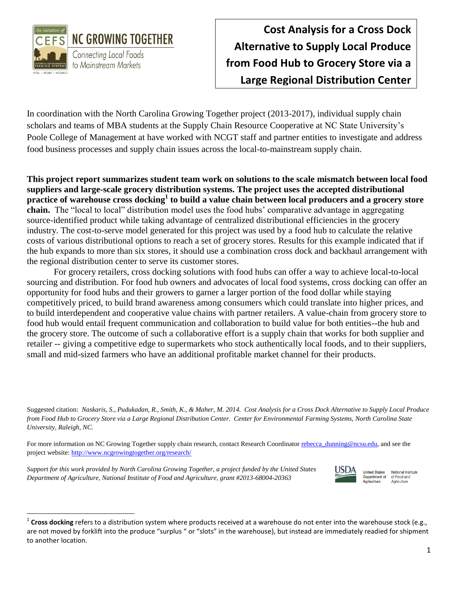

In coordination with the North Carolina Growing Together project (2013-2017), individual supply chain scholars and teams of MBA students at the Supply Chain Resource Cooperative at NC State University's Poole College of Management at have worked with NCGT staff and partner entities to investigate and address food business processes and supply chain issues across the local-to-mainstream supply chain.

**This project report summarizes student team work on solutions to the scale mismatch between local food suppliers and large-scale grocery distribution systems. The project uses the accepted distributional practice of warehouse cross docking<sup>1</sup> to build a value chain between local producers and a grocery store chain.** The "local to local" distribution model uses the food hubs' comparative advantage in aggregating source-identified product while taking advantage of centralized distributional efficiencies in the grocery industry. The cost-to-serve model generated for this project was used by a food hub to calculate the relative costs of various distributional options to reach a set of grocery stores. Results for this example indicated that if the hub expands to more than six stores, it should use a combination cross dock and backhaul arrangement with the regional distribution center to serve its customer stores.

For grocery retailers, cross docking solutions with food hubs can offer a way to achieve local-to-local sourcing and distribution. For food hub owners and advocates of local food systems, cross docking can offer an opportunity for food hubs and their growers to garner a larger portion of the food dollar while staying competitively priced, to build brand awareness among consumers which could translate into higher prices, and to build interdependent and cooperative value chains with partner retailers. A value-chain from grocery store to food hub would entail frequent communication and collaboration to build value for both entities--the hub and the grocery store. The outcome of such a collaborative effort is a supply chain that works for both supplier and retailer -- giving a competitive edge to supermarkets who stock authentically local foods, and to their suppliers, small and mid-sized farmers who have an additional profitable market channel for their products.

Suggested citation: *Naskaris, S., Pudukadan, R., Smith, K., & Maher, M. 2014. Cost Analysis for a Cross Dock Alternative to Supply Local Produce from Food Hub to Grocery Store via a Large Regional Distribution Center. Center for Environmental Farming Systems, North Carolina State University, Raleigh, NC.*

For more information on NC Growing Together supply chain research, contact Research Coordinator [rebecca\\_dunning@ncsu.edu,](mailto:rebecca_dunning@ncsu.edu) and see the project website[: http://www.ncgrowingtogether.org/research/](http://www.ncgrowingtogether.org/research/)

*Support for this work provided by North Carolina Growing Together, a project funded by the United States Department of Agriculture, National Institute of Food and Agriculture, grant #2013-68004-20363* 

 $\overline{a}$ 



**United States** National Institute Department of of Food and Agriculture Agriculture

<sup>&</sup>lt;sup>1</sup> Cross docking refers to a distribution system where products received at a warehouse do not enter into the warehouse stock (e.g., are not moved by forklift into the produce "surplus " or "slots" in the warehouse), but instead are immediately readied for shipment to another location.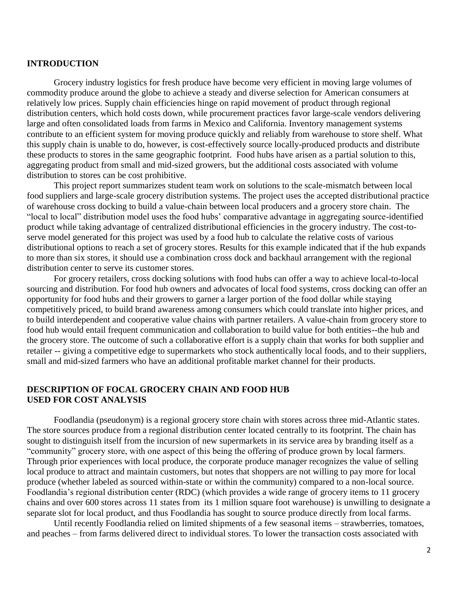### **INTRODUCTION**

Grocery industry logistics for fresh produce have become very efficient in moving large volumes of commodity produce around the globe to achieve a steady and diverse selection for American consumers at relatively low prices. Supply chain efficiencies hinge on rapid movement of product through regional distribution centers, which hold costs down, while procurement practices favor large-scale vendors delivering large and often consolidated loads from farms in Mexico and California. Inventory management systems contribute to an efficient system for moving produce quickly and reliably from warehouse to store shelf. What this supply chain is unable to do, however, is cost-effectively source locally-produced products and distribute these products to stores in the same geographic footprint. Food hubs have arisen as a partial solution to this, aggregating product from small and mid-sized growers, but the additional costs associated with volume distribution to stores can be cost prohibitive.

This project report summarizes student team work on solutions to the scale-mismatch between local food suppliers and large-scale grocery distribution systems. The project uses the accepted distributional practice of warehouse cross docking to build a value-chain between local producers and a grocery store chain. The "local to local" distribution model uses the food hubs' comparative advantage in aggregating source-identified product while taking advantage of centralized distributional efficiencies in the grocery industry. The cost-toserve model generated for this project was used by a food hub to calculate the relative costs of various distributional options to reach a set of grocery stores. Results for this example indicated that if the hub expands to more than six stores, it should use a combination cross dock and backhaul arrangement with the regional distribution center to serve its customer stores.

For grocery retailers, cross docking solutions with food hubs can offer a way to achieve local-to-local sourcing and distribution. For food hub owners and advocates of local food systems, cross docking can offer an opportunity for food hubs and their growers to garner a larger portion of the food dollar while staying competitively priced, to build brand awareness among consumers which could translate into higher prices, and to build interdependent and cooperative value chains with partner retailers. A value-chain from grocery store to food hub would entail frequent communication and collaboration to build value for both entities--the hub and the grocery store. The outcome of such a collaborative effort is a supply chain that works for both supplier and retailer -- giving a competitive edge to supermarkets who stock authentically local foods, and to their suppliers, small and mid-sized farmers who have an additional profitable market channel for their products.

### **DESCRIPTION OF FOCAL GROCERY CHAIN AND FOOD HUB USED FOR COST ANALYSIS**

Foodlandia (pseudonym) is a regional grocery store chain with stores across three mid-Atlantic states. The store sources produce from a regional distribution center located centrally to its footprint. The chain has sought to distinguish itself from the incursion of new supermarkets in its service area by branding itself as a "community" grocery store, with one aspect of this being the offering of produce grown by local farmers. Through prior experiences with local produce, the corporate produce manager recognizes the value of selling local produce to attract and maintain customers, but notes that shoppers are not willing to pay more for local produce (whether labeled as sourced within-state or within the community) compared to a non-local source. Foodlandia's regional distribution center (RDC) (which provides a wide range of grocery items to 11 grocery chains and over 600 stores across 11 states from its 1 million square foot warehouse) is unwilling to designate a separate slot for local product, and thus Foodlandia has sought to source produce directly from local farms.

Until recently Foodlandia relied on limited shipments of a few seasonal items – strawberries, tomatoes, and peaches – from farms delivered direct to individual stores. To lower the transaction costs associated with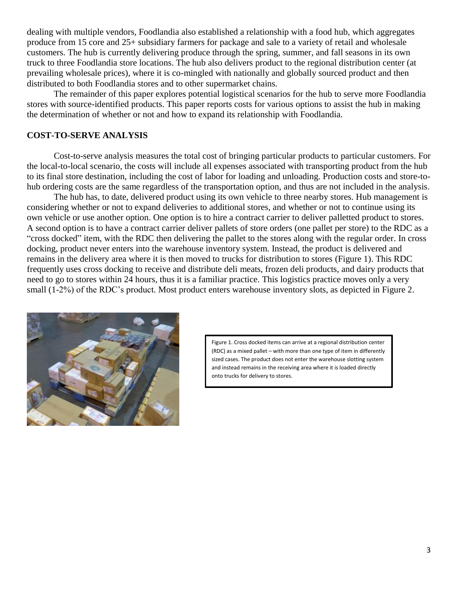dealing with multiple vendors, Foodlandia also established a relationship with a food hub, which aggregates produce from 15 core and 25+ subsidiary farmers for package and sale to a variety of retail and wholesale customers. The hub is currently delivering produce through the spring, summer, and fall seasons in its own truck to three Foodlandia store locations. The hub also delivers product to the regional distribution center (at prevailing wholesale prices), where it is co-mingled with nationally and globally sourced product and then distributed to both Foodlandia stores and to other supermarket chains.

The remainder of this paper explores potential logistical scenarios for the hub to serve more Foodlandia stores with source-identified products. This paper reports costs for various options to assist the hub in making the determination of whether or not and how to expand its relationship with Foodlandia.

## **COST-TO-SERVE ANALYSIS**

Cost-to-serve analysis measures the total cost of bringing particular products to particular customers. For the local-to-local scenario, the costs will include all expenses associated with transporting product from the hub to its final store destination, including the cost of labor for loading and unloading. Production costs and store-tohub ordering costs are the same regardless of the transportation option, and thus are not included in the analysis.

The hub has, to date, delivered product using its own vehicle to three nearby stores. Hub management is considering whether or not to expand deliveries to additional stores, and whether or not to continue using its own vehicle or use another option. One option is to hire a contract carrier to deliver palletted product to stores. A second option is to have a contract carrier deliver pallets of store orders (one pallet per store) to the RDC as a "cross docked" item, with the RDC then delivering the pallet to the stores along with the regular order. In cross docking, product never enters into the warehouse inventory system. Instead, the product is delivered and remains in the delivery area where it is then moved to trucks for distribution to stores (Figure 1). This RDC frequently uses cross docking to receive and distribute deli meats, frozen deli products, and dairy products that need to go to stores within 24 hours, thus it is a familiar practice. This logistics practice moves only a very small (1-2%) of the RDC's product. Most product enters warehouse inventory slots, as depicted in Figure 2.



Figure 1. Cross docked items can arrive at a regional distribution center (RDC) as a mixed pallet – with more than one type of item in differently sized cases. The product does not enter the warehouse slotting system and instead remains in the receiving area where it is loaded directly onto trucks for delivery to stores.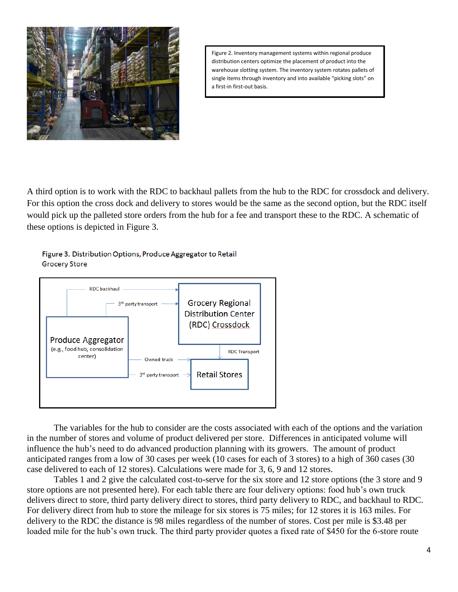

Figure 2. Inventory management systems within regional produce distribution centers optimize the placement of product into the warehouse slotting system. The inventory system rotates pallets of single items through inventory and into available "picking slots" on a first-in first-out basis.

A third option is to work with the RDC to backhaul pallets from the hub to the RDC for crossdock and delivery. For this option the cross dock and delivery to stores would be the same as the second option, but the RDC itself would pick up the palleted store orders from the hub for a fee and transport these to the RDC. A schematic of these options is depicted in Figure 3.

Figure 3. Distribution Options, Produce Aggregator to Retail **Grocery Store** 



The variables for the hub to consider are the costs associated with each of the options and the variation in the number of stores and volume of product delivered per store. Differences in anticipated volume will influence the hub's need to do advanced production planning with its growers. The amount of product anticipated ranges from a low of 30 cases per week (10 cases for each of 3 stores) to a high of 360 cases (30 case delivered to each of 12 stores). Calculations were made for 3, 6, 9 and 12 stores.

Tables 1 and 2 give the calculated cost-to-serve for the six store and 12 store options (the 3 store and 9 store options are not presented here). For each table there are four delivery options: food hub's own truck delivers direct to store, third party delivery direct to stores, third party delivery to RDC, and backhaul to RDC. For delivery direct from hub to store the mileage for six stores is 75 miles; for 12 stores it is 163 miles. For delivery to the RDC the distance is 98 miles regardless of the number of stores. Cost per mile is \$3.48 per loaded mile for the hub's own truck. The third party provider quotes a fixed rate of \$450 for the 6-store route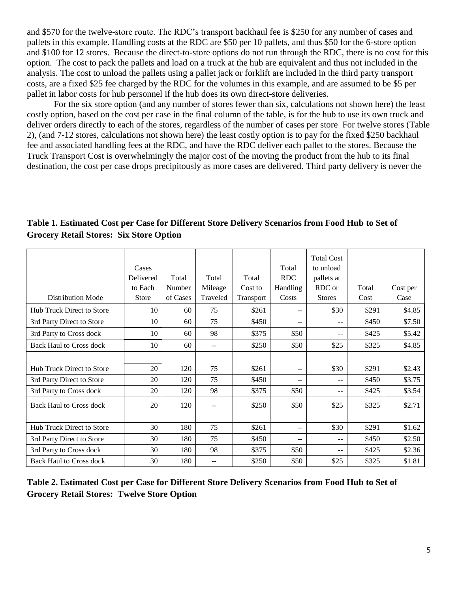and \$570 for the twelve-store route. The RDC's transport backhaul fee is \$250 for any number of cases and pallets in this example. Handling costs at the RDC are \$50 per 10 pallets, and thus \$50 for the 6-store option and \$100 for 12 stores. Because the direct-to-store options do not run through the RDC, there is no cost for this option. The cost to pack the pallets and load on a truck at the hub are equivalent and thus not included in the analysis. The cost to unload the pallets using a pallet jack or forklift are included in the third party transport costs, are a fixed \$25 fee charged by the RDC for the volumes in this example, and are assumed to be \$5 per pallet in labor costs for hub personnel if the hub does its own direct-store deliveries.

For the six store option (and any number of stores fewer than six, calculations not shown here) the least costly option, based on the cost per case in the final column of the table, is for the hub to use its own truck and deliver orders directly to each of the stores, regardless of the number of cases per store For twelve stores (Table 2), (and 7-12 stores, calculations not shown here) the least costly option is to pay for the fixed \$250 backhaul fee and associated handling fees at the RDC, and have the RDC deliver each pallet to the stores. Because the Truck Transport Cost is overwhelmingly the major cost of the moving the product from the hub to its final destination, the cost per case drops precipitously as more cases are delivered. Third party delivery is never the

|                                  | Cases<br>Delivered | Total    | Total    | Total     | Total<br><b>RDC</b>      | <b>Total Cost</b><br>to unload<br>pallets at |       |          |
|----------------------------------|--------------------|----------|----------|-----------|--------------------------|----------------------------------------------|-------|----------|
|                                  | to Each            | Number   | Mileage  | Cost to   | Handling                 | RDC or                                       | Total | Cost per |
| <b>Distribution Mode</b>         | <b>Store</b>       | of Cases | Traveled | Transport | Costs                    | <b>Stores</b>                                | Cost  | Case     |
| Hub Truck Direct to Store        | 10                 | 60       | 75       | \$261     | $-$                      | \$30                                         | \$291 | \$4.85   |
| 3rd Party Direct to Store        | 10                 | 60       | 75       | \$450     | $\overline{\phantom{m}}$ | --                                           | \$450 | \$7.50   |
| 3rd Party to Cross dock          | 10                 | 60       | 98       | \$375     | \$50                     | $- -$                                        | \$425 | \$5.42   |
| <b>Back Haul to Cross dock</b>   | 10                 | 60       | $-1$     | \$250     | \$50                     | \$25                                         | \$325 | \$4.85   |
|                                  |                    |          |          |           |                          |                                              |       |          |
| <b>Hub Truck Direct to Store</b> | 20                 | 120      | 75       | \$261     | $-$                      | \$30                                         | \$291 | \$2.43   |
| 3rd Party Direct to Store        | 20                 | 120      | 75       | \$450     | $\overline{\phantom{m}}$ | --                                           | \$450 | \$3.75   |
| 3rd Party to Cross dock          | 20                 | 120      | 98       | \$375     | \$50                     | --                                           | \$425 | \$3.54   |
| <b>Back Haul to Cross dock</b>   | 20                 | 120      | $-$      | \$250     | \$50                     | \$25                                         | \$325 | \$2.71   |
|                                  |                    |          |          |           |                          |                                              |       |          |
| Hub Truck Direct to Store        | 30                 | 180      | 75       | \$261     | $-$                      | \$30                                         | \$291 | \$1.62   |
| 3rd Party Direct to Store        | 30                 | 180      | 75       | \$450     | $ -$                     | $- -$                                        | \$450 | \$2.50   |
| 3rd Party to Cross dock          | 30                 | 180      | 98       | \$375     | \$50                     |                                              | \$425 | \$2.36   |
| <b>Back Haul to Cross dock</b>   | 30                 | 180      | --       | \$250     | \$50                     | \$25                                         | \$325 | \$1.81   |

**Table 1. Estimated Cost per Case for Different Store Delivery Scenarios from Food Hub to Set of Grocery Retail Stores: Six Store Option**

**Table 2. Estimated Cost per Case for Different Store Delivery Scenarios from Food Hub to Set of Grocery Retail Stores: Twelve Store Option**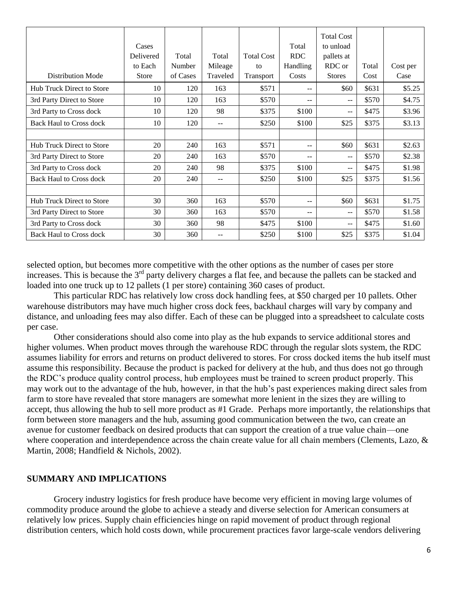| <b>Distribution Mode</b>         | Cases<br>Delivered<br>to Each<br>Store | Total<br>Number<br>of Cases | Total<br>Mileage<br>Traveled | <b>Total Cost</b><br>to<br>Transport | Total<br><b>RDC</b><br>Handling<br>Costs | <b>Total Cost</b><br>to unload<br>pallets at<br>RDC or<br><b>Stores</b> | Total<br>Cost | Cost per<br>Case |
|----------------------------------|----------------------------------------|-----------------------------|------------------------------|--------------------------------------|------------------------------------------|-------------------------------------------------------------------------|---------------|------------------|
| <b>Hub Truck Direct to Store</b> | 10                                     | 120                         | 163                          | \$571                                | --                                       | \$60                                                                    | \$631         | \$5.25           |
| 3rd Party Direct to Store        | 10                                     | 120                         | 163                          | \$570                                | $-1$                                     | --                                                                      | \$570         | \$4.75           |
| 3rd Party to Cross dock          | 10                                     | 120                         | 98                           | \$375                                | \$100                                    | --                                                                      | \$475         | \$3.96           |
| <b>Back Haul to Cross dock</b>   | 10                                     | 120                         | --                           | \$250                                | \$100                                    | \$25                                                                    | \$375         | \$3.13           |
|                                  |                                        |                             |                              |                                      |                                          |                                                                         |               |                  |
| <b>Hub Truck Direct to Store</b> | 20                                     | 240                         | 163                          | \$571                                | --                                       | \$60                                                                    | \$631         | \$2.63           |
| 3rd Party Direct to Store        | 20                                     | 240                         | 163                          | \$570                                | --                                       | --                                                                      | \$570         | \$2.38           |
| 3rd Party to Cross dock          | 20                                     | 240                         | 98                           | \$375                                | \$100                                    | --                                                                      | \$475         | \$1.98           |
| <b>Back Haul to Cross dock</b>   | 20                                     | 240                         | --                           | \$250                                | \$100                                    | \$25                                                                    | \$375         | \$1.56           |
|                                  |                                        |                             |                              |                                      |                                          |                                                                         |               |                  |
| Hub Truck Direct to Store        | 30                                     | 360                         | 163                          | \$570                                | $-$                                      | \$60                                                                    | \$631         | \$1.75           |
| 3rd Party Direct to Store        | 30                                     | 360                         | 163                          | \$570                                | --                                       | --                                                                      | \$570         | \$1.58           |
| 3rd Party to Cross dock          | 30                                     | 360                         | 98                           | \$475                                | \$100                                    | $-$                                                                     | \$475         | \$1.60           |
| <b>Back Haul to Cross dock</b>   | 30                                     | 360                         | --                           | \$250                                | \$100                                    | \$25                                                                    | \$375         | \$1.04           |

selected option, but becomes more competitive with the other options as the number of cases per store increases. This is because the  $3<sup>rd</sup>$  party delivery charges a flat fee, and because the pallets can be stacked and loaded into one truck up to 12 pallets (1 per store) containing 360 cases of product.

This particular RDC has relatively low cross dock handling fees, at \$50 charged per 10 pallets. Other warehouse distributors may have much higher cross dock fees, backhaul charges will vary by company and distance, and unloading fees may also differ. Each of these can be plugged into a spreadsheet to calculate costs per case.

Other considerations should also come into play as the hub expands to service additional stores and higher volumes. When product moves through the warehouse RDC through the regular slots system, the RDC assumes liability for errors and returns on product delivered to stores. For cross docked items the hub itself must assume this responsibility. Because the product is packed for delivery at the hub, and thus does not go through the RDC's produce quality control process, hub employees must be trained to screen product properly. This may work out to the advantage of the hub, however, in that the hub's past experiences making direct sales from farm to store have revealed that store managers are somewhat more lenient in the sizes they are willing to accept, thus allowing the hub to sell more product as #1 Grade. Perhaps more importantly, the relationships that form between store managers and the hub, assuming good communication between the two, can create an avenue for customer feedback on desired products that can support the creation of a true value chain—one where cooperation and interdependence across the chain create value for all chain members (Clements, Lazo, & Martin, 2008; Handfield & Nichols, 2002).

### **SUMMARY AND IMPLICATIONS**

Grocery industry logistics for fresh produce have become very efficient in moving large volumes of commodity produce around the globe to achieve a steady and diverse selection for American consumers at relatively low prices. Supply chain efficiencies hinge on rapid movement of product through regional distribution centers, which hold costs down, while procurement practices favor large-scale vendors delivering